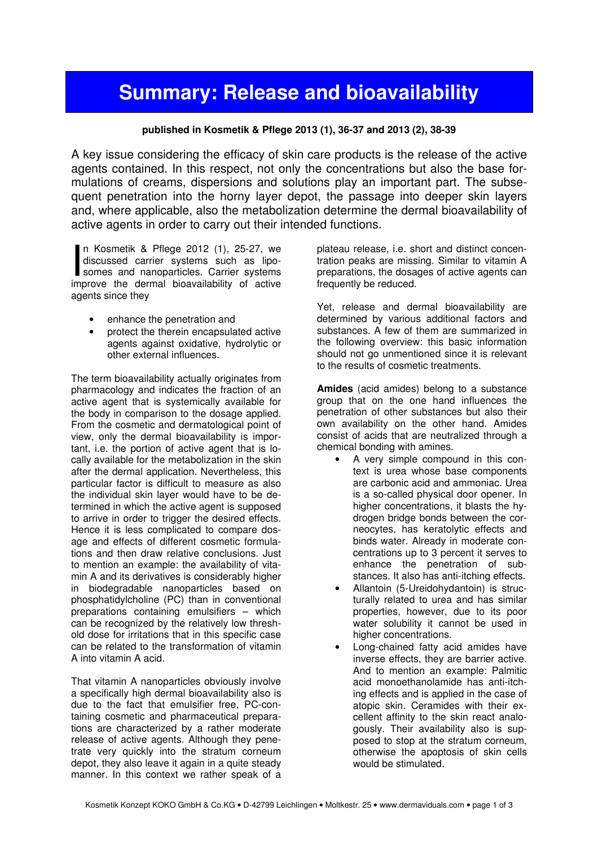## Summary: Release and bioavailability

## published in Kosmetik & Pflege 2013 (1), 36-37 and 2013 (2), 38-39

A key issue considering the efficacy of skin care products is the release of the active agents contained. In this respect, not only the concentrations but also the base formulations of creams, dispersions and solutions play an important part. The subsequent penetration into the horny layer depot, the passage into deeper skin layers and, where applicable, also the metabolization determine the dermal bioavailability of active agents in order to carry out their intended functions.

n Kosmetik & Pflege 2012 (1), 25-27, we discussed carrier systems such as liposomes and nanoparticles. Carrier systems In Kosmetik & Pflege 2012 (1), 25-27, we discussed carrier systems such as liposomes and nanoparticles. Carrier systems improve the dermal bioavailability of active agents since they

- enhance the penetration and
- protect the therein encapsulated active agents against oxidative, hydrolytic or other external influences.

The term bioavailability actually originates from pharmacology and indicates the fraction of an active agent that is systemically available for the body in comparison to the dosage applied. From the cosmetic and dermatological point of view, only the dermal bioavailability is important, i.e. the portion of active agent that is locally available for the metabolization in the skin after the dermal application. Nevertheless, this particular factor is difficult to measure as also the individual skin layer would have to be determined in which the active agent is supposed to arrive in order to trigger the desired effects. Hence it is less complicated to compare dosage and effects of different cosmetic formulations and then draw relative conclusions. Just to mention an example: the availability of vitamin A and its derivatives is considerably higher in biodegradable nanoparticles based on phosphatidylcholine (PC) than in conventional preparations containing emulsifiers – which can be recognized by the relatively low threshold dose for irritations that in this specific case can be related to the transformation of vitamin A into vitamin A acid.

That vitamin A nanoparticles obviously involve a specifically high dermal bioavailability also is due to the fact that emulsifier free, PC-containing cosmetic and pharmaceutical preparations are characterized by a rather moderate release of active agents. Although they penetrate very quickly into the stratum corneum depot, they also leave it again in a quite steady manner. In this context we rather speak of a

plateau release, i.e. short and distinct concentration peaks are missing. Similar to vitamin A preparations, the dosages of active agents can frequently be reduced.

Yet, release and dermal bioavailability are determined by various additional factors and substances. A few of them are summarized in the following overview: this basic information should not go unmentioned since it is relevant to the results of cosmetic treatments.

Amides (acid amides) belong to a substance group that on the one hand influences the penetration of other substances but also their own availability on the other hand. Amides consist of acids that are neutralized through a chemical bonding with amines.

- A very simple compound in this context is urea whose base components are carbonic acid and ammoniac. Urea is a so-called physical door opener. In higher concentrations, it blasts the hydrogen bridge bonds between the corneocytes, has keratolytic effects and binds water. Already in moderate concentrations up to 3 percent it serves to enhance the penetration of substances. It also has anti-itching effects.
- Allantoin (5-Ureidohydantoin) is structurally related to urea and has similar properties, however, due to its poor water solubility it cannot be used in higher concentrations.
- Long-chained fatty acid amides have inverse effects, they are barrier active. And to mention an example: Palmitic acid monoethanolamide has anti-itching effects and is applied in the case of atopic skin. Ceramides with their excellent affinity to the skin react analogously. Their availability also is supposed to stop at the stratum corneum, otherwise the apoptosis of skin cells would be stimulated.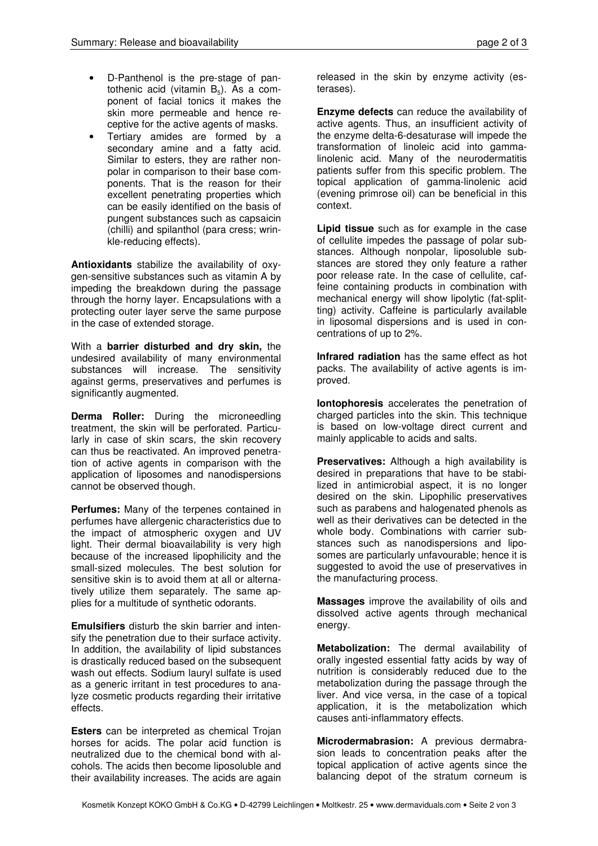- D-Panthenol is the pre-stage of pantothenic acid (vitamin  $B_5$ ). As a component of facial tonics it makes the skin more permeable and hence receptive for the active agents of masks.
- Tertiary amides are formed by a secondary amine and a fatty acid. Similar to esters, they are rather nonpolar in comparison to their base components. That is the reason for their excellent penetrating properties which can be easily identified on the basis of pungent substances such as capsaicin (chilli) and spilanthol (para cress; wrinkle-reducing effects).

Antioxidants stabilize the availability of oxygen-sensitive substances such as vitamin A by impeding the breakdown during the passage through the horny layer. Encapsulations with a protecting outer layer serve the same purpose in the case of extended storage.

With a barrier disturbed and dry skin, the undesired availability of many environmental substances will increase. The sensitivity against germs, preservatives and perfumes is significantly augmented.

**Derma Roller:** During the microneedling treatment, the skin will be perforated. Particularly in case of skin scars, the skin recovery can thus be reactivated. An improved penetration of active agents in comparison with the application of liposomes and nanodispersions cannot be observed though.

Perfumes: Many of the terpenes contained in perfumes have allergenic characteristics due to the impact of atmospheric oxygen and UV light. Their dermal bioavailability is very high because of the increased lipophilicity and the small-sized molecules. The best solution for sensitive skin is to avoid them at all or alternatively utilize them separately. The same applies for a multitude of synthetic odorants.

Emulsifiers disturb the skin barrier and intensify the penetration due to their surface activity. In addition, the availability of lipid substances is drastically reduced based on the subsequent wash out effects. Sodium lauryl sulfate is used as a generic irritant in test procedures to analyze cosmetic products regarding their irritative effects.

Esters can be interpreted as chemical Trojan horses for acids. The polar acid function is neutralized due to the chemical bond with alcohols. The acids then become liposoluble and their availability increases. The acids are again

released in the skin by enzyme activity (esterases).

Enzyme defects can reduce the availability of active agents. Thus, an insufficient activity of the enzyme delta-6-desaturase will impede the transformation of linoleic acid into gammalinolenic acid. Many of the neurodermatitis patients suffer from this specific problem. The topical application of gamma-linolenic acid (evening primrose oil) can be beneficial in this context.

Lipid tissue such as for example in the case of cellulite impedes the passage of polar substances. Although nonpolar, liposoluble substances are stored they only feature a rather poor release rate. In the case of cellulite, caffeine containing products in combination with mechanical energy will show lipolytic (fat-splitting) activity. Caffeine is particularly available in liposomal dispersions and is used in concentrations of up to 2%.

Infrared radiation has the same effect as hot packs. The availability of active agents is improved.

Iontophoresis accelerates the penetration of charged particles into the skin. This technique is based on low-voltage direct current and mainly applicable to acids and salts.

Preservatives: Although a high availability is desired in preparations that have to be stabilized in antimicrobial aspect, it is no longer desired on the skin. Lipophilic preservatives such as parabens and halogenated phenols as well as their derivatives can be detected in the whole body. Combinations with carrier substances such as nanodispersions and liposomes are particularly unfavourable; hence it is suggested to avoid the use of preservatives in the manufacturing process.

Massages improve the availability of oils and dissolved active agents through mechanical energy.

Metabolization: The dermal availability of orally ingested essential fatty acids by way of nutrition is considerably reduced due to the metabolization during the passage through the liver. And vice versa, in the case of a topical application, it is the metabolization which causes anti-inflammatory effects.

Microdermabrasion: A previous dermabrasion leads to concentration peaks after the topical application of active agents since the balancing depot of the stratum corneum is